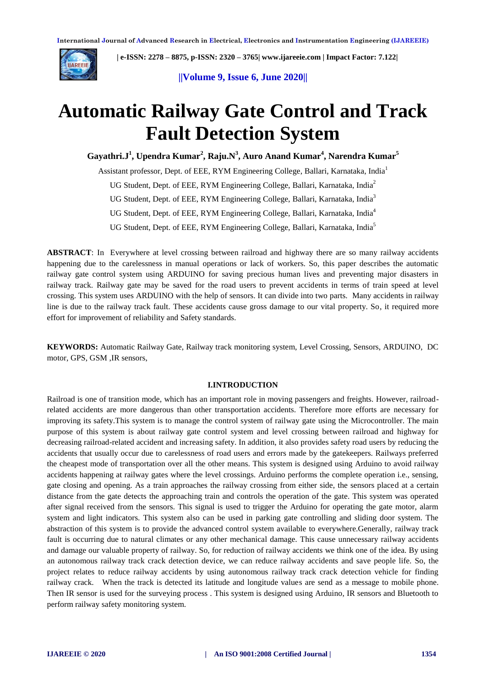

 **| e-ISSN: 2278 – 8875, p-ISSN: 2320 – 3765| [www.ijareeie.com](http://www.ijareeie.com/) | Impact Factor: 7.122|** 

**||Volume 9, Issue 6, June 2020||** 

# **Automatic Railway Gate Control and Track Fault Detection System**

**Gayathri.J<sup>1</sup> , Upendra Kumar<sup>2</sup> , Raju.N<sup>3</sup> , Auro Anand Kumar<sup>4</sup> , Narendra Kumar<sup>5</sup>**

Assistant professor, Dept. of EEE, RYM Engineering College, Ballari, Karnataka, India<sup>1</sup>

UG Student, Dept. of EEE, RYM Engineering College, Ballari, Karnataka, India<sup>2</sup>

UG Student, Dept. of EEE, RYM Engineering College, Ballari, Karnataka, India<sup>3</sup>

UG Student, Dept. of EEE, RYM Engineering College, Ballari, Karnataka, India<sup>4</sup>

UG Student, Dept. of EEE, RYM Engineering College, Ballari, Karnataka, India<sup>5</sup>

**ABSTRACT**: In Everywhere at level crossing between railroad and highway there are so many railway accidents happening due to the carelessness in manual operations or lack of workers. So, this paper describes the automatic railway gate control system using ARDUINO for saving precious human lives and preventing major disasters in railway track. Railway gate may be saved for the road users to prevent accidents in terms of train speed at level crossing. This system uses ARDUINO with the help of sensors. It can divide into two parts. Many accidents in railway line is due to the railway track fault. These accidents cause gross damage to our vital property. So, it required more effort for improvement of reliability and Safety standards.

**KEYWORDS:** Automatic Railway Gate, Railway track monitoring system, Level Crossing, Sensors, ARDUINO, DC motor, GPS, GSM ,IR sensors,

## **I.INTRODUCTION**

Railroad is one of transition mode, which has an important role in moving passengers and freights. However, railroadrelated accidents are more dangerous than other transportation accidents. Therefore more efforts are necessary for improving its safety.This system is to manage the control system of railway gate using the Microcontroller. The main purpose of this system is about railway gate control system and level crossing between railroad and highway for decreasing railroad-related accident and increasing safety. In addition, it also provides safety road users by reducing the accidents that usually occur due to carelessness of road users and errors made by the gatekeepers. Railways preferred the cheapest mode of transportation over all the other means. This system is designed using Arduino to avoid railway accidents happening at railway gates where the level crossings. Arduino performs the complete operation i.e., sensing, gate closing and opening. As a train approaches the railway crossing from either side, the sensors placed at a certain distance from the gate detects the approaching train and controls the operation of the gate. This system was operated after signal received from the sensors. This signal is used to trigger the Arduino for operating the gate motor, alarm system and light indicators. This system also can be used in parking gate controlling and sliding door system. The abstraction of this system is to provide the advanced control system available to everywhere.Generally, railway track fault is occurring due to natural climates or any other mechanical damage. This cause unnecessary railway accidents and damage our valuable property of railway. So, for reduction of railway accidents we think one of the idea. By using an autonomous railway track crack detection device, we can reduce railway accidents and save people life. So, the project relates to reduce railway accidents by using autonomous railway track crack detection vehicle for finding railway crack. When the track is detected its latitude and longitude values are send as a message to mobile phone. Then IR sensor is used for the surveying process . This system is designed using Arduino, IR sensors and Bluetooth to perform railway safety monitoring system.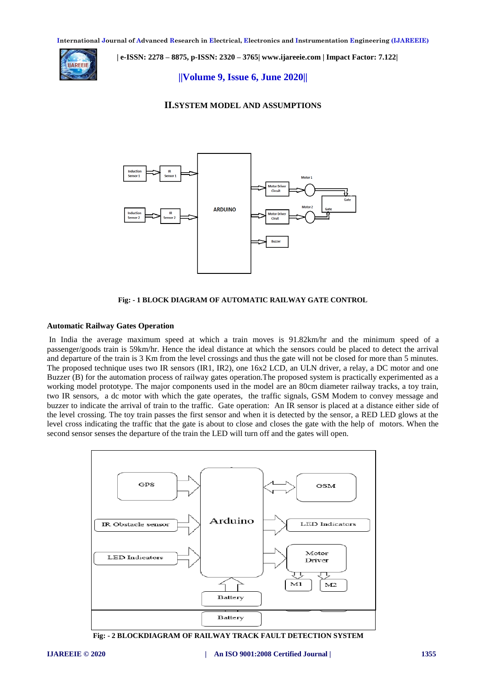

 **| e-ISSN: 2278 – 8875, p-ISSN: 2320 – 3765| [www.ijareeie.com](http://www.ijareeie.com/) | Impact Factor: 7.122|** 

**||Volume 9, Issue 6, June 2020||** 

## **II.SYSTEM MODEL AND ASSUMPTIONS**



**Fig: - 1 BLOCK DIAGRAM OF AUTOMATIC RAILWAY GATE CONTROL**

#### **Automatic Railway Gates Operation**

In India the average maximum speed at which a train moves is 91.82km/hr and the minimum speed of a passenger/goods train is 59km/hr. Hence the ideal distance at which the sensors could be placed to detect the arrival and departure of the train is 3 Km from the level crossings and thus the gate will not be closed for more than 5 minutes. The proposed technique uses two IR sensors (IR1, IR2), one 16x2 LCD, an ULN driver, a relay, a DC motor and one Buzzer (B) for the automation process of railway gates operation.The proposed system is practically experimented as a working model prototype. The major components used in the model are an 80cm diameter railway tracks, a toy train, two IR sensors, a dc motor with which the gate operates, the traffic signals, GSM Modem to convey message and buzzer to indicate the arrival of train to the traffic. Gate operation: An IR sensor is placed at a distance either side of the level crossing. The toy train passes the first sensor and when it is detected by the sensor, a RED LED glows at the level cross indicating the traffic that the gate is about to close and closes the gate with the help of motors. When the second sensor senses the departure of the train the LED will turn off and the gates will open.



 **Fig: - 2 BLOCKDIAGRAM OF RAILWAY TRACK FAULT DETECTION SYSTEM**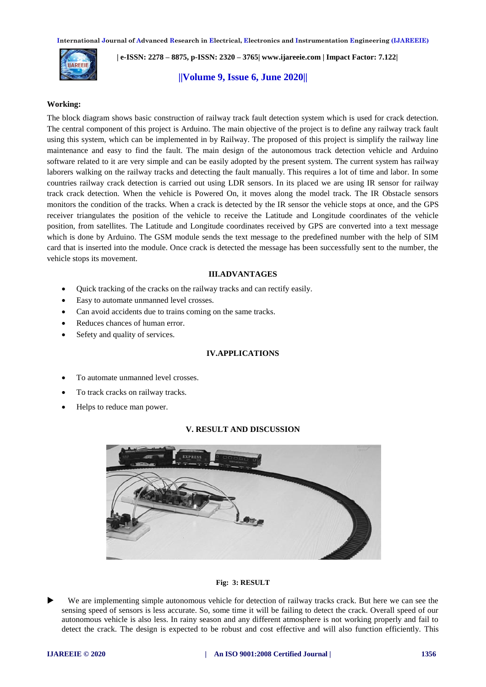

 **| e-ISSN: 2278 – 8875, p-ISSN: 2320 – 3765| [www.ijareeie.com](http://www.ijareeie.com/) | Impact Factor: 7.122|** 

# **||Volume 9, Issue 6, June 2020||**

#### **Working:**

The block diagram shows basic construction of railway track fault detection system which is used for crack detection. The central component of this project is Arduino. The main objective of the project is to define any railway track fault using this system, which can be implemented in by Railway. The proposed of this project is simplify the railway line maintenance and easy to find the fault. The main design of the autonomous track detection vehicle and Arduino software related to it are very simple and can be easily adopted by the present system. The current system has railway laborers walking on the railway tracks and detecting the fault manually. This requires a lot of time and labor. In some countries railway crack detection is carried out using LDR sensors. In its placed we are using IR sensor for railway track crack detection. When the vehicle is Powered On, it moves along the model track. The IR Obstacle sensors monitors the condition of the tracks. When a crack is detected by the IR sensor the vehicle stops at once, and the GPS receiver triangulates the position of the vehicle to receive the Latitude and Longitude coordinates of the vehicle position, from satellites. The Latitude and Longitude coordinates received by GPS are converted into a text message which is done by Arduino. The GSM module sends the text message to the predefined number with the help of SIM card that is inserted into the module. Once crack is detected the message has been successfully sent to the number, the vehicle stops its movement.

#### **III.ADVANTAGES**

- Quick tracking of the cracks on the railway tracks and can rectify easily.
- Easy to automate unmanned level crosses.
- Can avoid accidents due to trains coming on the same tracks.
- Reduces chances of human error.
- Sefety and quality of services.

## **IV.APPLICATIONS**

- To automate unmanned level crosses.
- To track cracks on railway tracks.
- Helps to reduce man power.

# **V. RESULT AND DISCUSSION**



#### **Fig: 3: RESULT**

 We are implementing simple autonomous vehicle for detection of railway tracks crack. But here we can see the sensing speed of sensors is less accurate. So, some time it will be failing to detect the crack. Overall speed of our autonomous vehicle is also less. In rainy season and any different atmosphere is not working properly and fail to detect the crack. The design is expected to be robust and cost effective and will also function efficiently. This